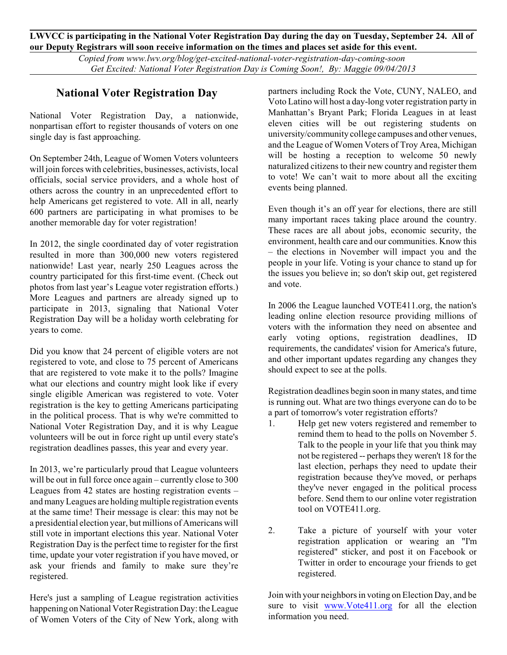**LWVCC is participating in the National Voter Registration Day during the day on Tuesday, September 24. All of our Deputy Registrars will soon receive information on the times and places set aside for this event.**

> *Copied from www.lwv.org/blog/get-excited-national-voter-registration-day-coming-soon Get Excited: National Voter Registration Day is Coming Soon!, By: Maggie 09/04/2013*

## **National Voter Registration Day**

National Voter Registration Day, a nationwide, nonpartisan effort to register thousands of voters on one single day is fast approaching.

On September 24th, League of Women Voters volunteers will join forces with celebrities, businesses, activists, local officials, social service providers, and a whole host of others across the country in an unprecedented effort to help Americans get registered to vote. All in all, nearly 600 partners are participating in what promises to be another memorable day for voter registration!

In 2012, the single coordinated day of voter registration resulted in more than 300,000 new voters registered nationwide! Last year, nearly 250 Leagues across the country participated for this first-time event. (Check out photos from last year's League voter registration efforts.) More Leagues and partners are already signed up to participate in 2013, signaling that National Voter Registration Day will be a holiday worth celebrating for years to come.

Did you know that 24 percent of eligible voters are not registered to vote, and close to 75 percent of Americans that are registered to vote make it to the polls? Imagine what our elections and country might look like if every single eligible American was registered to vote. Voter registration is the key to getting Americans participating in the political process. That is why we're committed to National Voter Registration Day, and it is why League volunteers will be out in force right up until every state's registration deadlines passes, this year and every year.

In 2013, we're particularly proud that League volunteers will be out in full force once again – currently close to 300 Leagues from 42 states are hosting registration events – and many Leagues are holding multiple registration events at the same time! Their message is clear: this may not be a presidential election year, but millions of Americans will still vote in important elections this year. National Voter Registration Day is the perfect time to register for the first time, update your voter registration if you have moved, or ask your friends and family to make sure they're registered.

Here's just a sampling of League registration activities happening on National Voter Registration Day: the League of Women Voters of the City of New York, along with partners including Rock the Vote, CUNY, NALEO, and Voto Latino will host a day-long voter registration party in Manhattan's Bryant Park; Florida Leagues in at least eleven cities will be out registering students on university/community college campuses and other venues, and the League of Women Voters of Troy Area, Michigan will be hosting a reception to welcome 50 newly naturalized citizens to their new country and register them to vote! We can't wait to more about all the exciting events being planned.

Even though it's an off year for elections, there are still many important races taking place around the country. These races are all about jobs, economic security, the environment, health care and our communities. Know this – the elections in November will impact you and the people in your life. Voting is your chance to stand up for the issues you believe in; so don't skip out, get registered and vote.

In 2006 the League launched VOTE411.org, the nation's leading online election resource providing millions of voters with the information they need on absentee and early voting options, registration deadlines, ID requirements, the candidates' vision for America's future, and other important updates regarding any changes they should expect to see at the polls.

Registration deadlines begin soon in many states, and time is running out. What are two things everyone can do to be a part of tomorrow's voter registration efforts?

- 1. Help get new voters registered and remember to remind them to head to the polls on November 5. Talk to the people in your life that you think may not be registered -- perhaps they weren't 18 for the last election, perhaps they need to update their registration because they've moved, or perhaps they've never engaged in the political process before. Send them to our online voter registration tool on VOTE411.org.
- 2. Take a picture of yourself with your voter registration application or wearing an "I'm registered" sticker, and post it on Facebook or Twitter in order to encourage your friends to get registered.

Join with your neighborsin voting on Election Day, and be sure to visit [www.Vote411.org](http://www.Vote411.org) for all the election information you need.